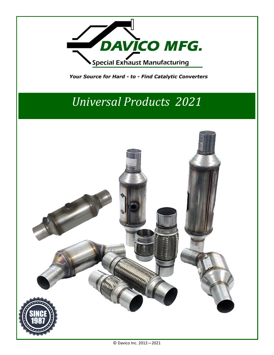

## *Universal Products 2021*

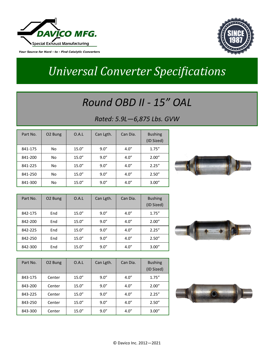



# *Universal Converter Specifications*

#### *Round OBD II - 15" OAL*

#### *Rated: 5.9L—6,875 Lbs. GVW*

| Part No. | O <sub>2</sub> Bung | 0.A.L  | Can Lgth. | Can Dia. | <b>Bushing</b><br>(ID Sized) |
|----------|---------------------|--------|-----------|----------|------------------------------|
| 841-175  | No                  | 15.0'' | 9.0''     | 4.0''    | 1.75''                       |
| 841-200  | No                  | 15.0'' | 9.0''     | 4.0''    | 2.00"                        |
| 841-225  | No                  | 15.0'' | 9.0''     | 4.0''    | 2.25''                       |
| 841-250  | No                  | 15.0'' | 9.0''     | 4.0''    | 2.50''                       |
| 841-300  | No                  | 15.0'' | 9.0''     | 4.0''    | 3.00"                        |



| Part No. | O <sub>2</sub> Bung | O.A.L  | Can Lgth. | Can Dia. | <b>Bushing</b><br>(ID Sized) |
|----------|---------------------|--------|-----------|----------|------------------------------|
| 842-175  | End                 | 15.0'' | 9.0''     | 4.0''    | 1.75''                       |
| 842-200  | End                 | 15.0'' | 9.0''     | 4.0''    | 2.00"                        |
| 842-225  | End                 | 15.0'' | 9.0''     | 4.0''    | 2.25''                       |
| 842-250  | End                 | 15.0'' | 9.0''     | 4.0''    | 2.50''                       |
| 842-300  | End                 | 15.0'' | 9.0''     | 4.0''    | 3.00"                        |



| Part No. | O <sub>2</sub> Bung | O.A.L  | Can Lgth. | Can Dia. | <b>Bushing</b><br>(ID Sized) |
|----------|---------------------|--------|-----------|----------|------------------------------|
| 843-175  | Center              | 15.0'' | 9.0''     | 4.0''    | 1.75''                       |
| 843-200  | Center              | 15.0'' | 9.0''     | 4.0''    | 2.00"                        |
| 843-225  | Center              | 15.0'' | 9.0''     | 4.0''    | 2.25''                       |
| 843-250  | Center              | 15.0'' | 9.0''     | 4.0''    | 2.50''                       |
| 843-300  | Center              | 15.0'' | 9.0''     | 4.0''    | 3.00"                        |

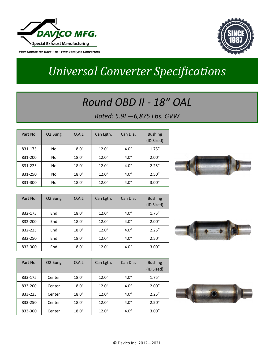



# *Universal Converter Specifications*

#### *Round OBD II - 18" OAL*

#### *Rated: 5.9L—6,875 Lbs. GVW*

| Part No. | O <sub>2</sub> Bung | O.A.L  | Can Lgth. | Can Dia. | <b>Bushing</b><br>(ID Sized) |
|----------|---------------------|--------|-----------|----------|------------------------------|
| 831-175  | No                  | 18.0'' | 12.0''    | 4.0''    | 1.75''                       |
| 831-200  | No                  | 18.0'' | 12.0''    | 4.0''    | 2.00"                        |
| 831-225  | No                  | 18.0'' | 12.0''    | 4.0''    | 2.25''                       |
| 831-250  | No                  | 18.0'' | 12.0''    | 4.0''    | 2.50''                       |
| 831-300  | No                  | 18.0'' | 12.0''    | 4.0''    | 3.00''                       |



| Part No. | O <sub>2</sub> Bung | O.A.L  | Can Lgth. | Can Dia. | <b>Bushing</b><br>(ID Sized) |
|----------|---------------------|--------|-----------|----------|------------------------------|
| 832-175  | End                 | 18.0'' | 12.0''    | 4.0''    | 1.75''                       |
| 832-200  | End                 | 18.0'' | 12.0''    | 4.0''    | 2.00"                        |
| 832-225  | End                 | 18.0'' | 12.0''    | 4.0''    | 2.25''                       |
| 832-250  | End                 | 18.0'' | 12.0''    | 4.0''    | 2.50''                       |
| 832-300  | End                 | 18.0'' | 12.0''    | 4.0''    | 3.00"                        |



| Part No. | O <sub>2</sub> Bung | O.A.L  | Can Lgth. | Can Dia. | <b>Bushing</b><br>(ID Sized) |
|----------|---------------------|--------|-----------|----------|------------------------------|
| 833-175  | Center              | 18.0'' | 12.0''    | 4.0''    | 1.75''                       |
| 833-200  | Center              | 18.0'' | 12.0''    | 4.0''    | 2.00"                        |
| 833-225  | Center              | 18.0'' | 12.0''    | 4.0''    | 2.25''                       |
| 833-250  | Center              | 18.0'' | 12.0''    | 4.0''    | 2.50''                       |
| 833-300  | Center              | 18.0'' | 12.0''    | 4.0''    | 3.00"                        |

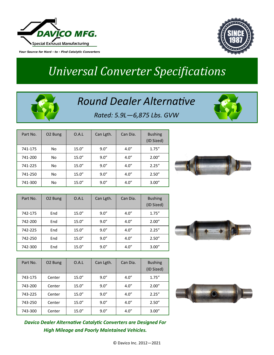



# *Universal Converter Specifications*

#### *Round Dealer Alternative*



*Rated: 5.9L—6,875 Lbs. GVW*

| Part No. | O <sub>2</sub> Bung | O.A.L  | Can Lgth. | Can Dia. | <b>Bushing</b><br>(ID Sized) |
|----------|---------------------|--------|-----------|----------|------------------------------|
| 741-175  | No                  | 15.0'' | 9.0''     | 4.0''    | 1.75''                       |
| 741-200  | No                  | 15.0'' | 9.0''     | 4.0''    | 2.00"                        |
| 741-225  | No                  | 15.0'' | 9.0''     | 4.0''    | 2.25''                       |
| 741-250  | No                  | 15.0'' | 9.0''     | 4.0''    | 2.50''                       |
| 741-300  | No                  | 15.0'' | 9.0''     | 4.0''    | 3.00''                       |



| Part No. | O <sub>2</sub> Bung | O.A.L  | Can Lgth. | Can Dia. | <b>Bushing</b><br>(ID Sized) |
|----------|---------------------|--------|-----------|----------|------------------------------|
| 742-175  | End                 | 15.0'' | 9.0''     | 4.0''    | 1.75''                       |
| 742-200  | End                 | 15.0'' | 9.0''     | 4.0''    | 2.00"                        |
| 742-225  | End                 | 15.0'' | 9.0''     | 4.0''    | 2.25''                       |
| 742-250  | End                 | 15.0'' | 9.0''     | 4.0''    | 2.50''                       |
| 742-300  | End                 | 15.0'' | 9.0''     | 4.0''    | 3.00"                        |



| Part No. | O <sub>2</sub> Bung | O.A.L  | Can Lgth. | Can Dia. | <b>Bushing</b><br>(ID Sized) |
|----------|---------------------|--------|-----------|----------|------------------------------|
| 743-175  | Center              | 15.0'' | 9.0''     | 4.0''    | 1.75''                       |
| 743-200  | Center              | 15.0'' | 9.0''     | 4.0''    | 2.00"                        |
| 743-225  | Center              | 15.0'' | 9.0''     | 4.0''    | 2.25''                       |
| 743-250  | Center              | 15.0'' | 9.0''     | 4.0''    | 2.50''                       |
| 743-300  | Center              | 15.0'' | 9.0''     | 4.0''    | 3.00"                        |



*Davico Dealer Alternative Catalytic Converters are Designed For High Mileage and Poorly Maintained Vehicles.*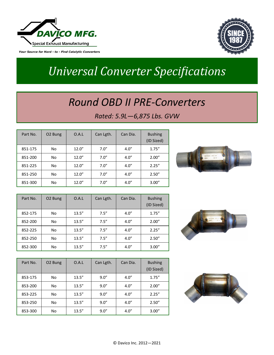



# *Universal Converter Specifications*

#### *Round OBD II PRE-Converters*

#### *Rated: 5.9L—6,875 Lbs. GVW*

| Part No. | O <sub>2</sub> Bung | O.A.L  | Can Lgth. | Can Dia. | <b>Bushing</b><br>(ID Sized) |
|----------|---------------------|--------|-----------|----------|------------------------------|
| 851-175  | No                  | 12.0'' | 7.0''     | 4.0''    | 1.75''                       |
| 851-200  | No                  | 12.0'' | 7.0''     | 4.0''    | 2.00''                       |
| 851-225  | No                  | 12.0'' | 7.0''     | 4.0''    | 2.25''                       |
| 851-250  | No                  | 12.0'' | 7.0''     | 4.0''    | 2.50''                       |
| 851-300  | No                  | 12.0'' | 7.0''     | 4.0''    | 3.00"                        |



| Part No. | O <sub>2</sub> Bung | O.A.L  | Can Lgth. | Can Dia. | <b>Bushing</b><br>(ID Sized) |
|----------|---------------------|--------|-----------|----------|------------------------------|
| 852-175  | No                  | 13.5'' | 7.5''     | 4.0''    | 1.75''                       |
| 852-200  | No                  | 13.5'' | 7.5''     | 4.0''    | 2.00"                        |
| 852-225  | No                  | 13.5'' | 7.5''     | 4.0''    | 2.25''                       |
| 852-250  | No                  | 13.5'' | 7.5''     | 4.0''    | 2.50''                       |
| 852-300  | No                  | 13.5'' | 7.5''     | 4.0''    | 3.00"                        |



| Part No. | O <sub>2</sub> Bung | O.A.L  | Can Lgth. | Can Dia. | <b>Bushing</b><br>(ID Sized) |
|----------|---------------------|--------|-----------|----------|------------------------------|
| 853-175  | No                  | 13.5'' | 9.0''     | 4.0''    | 1.75''                       |
| 853-200  | No                  | 13.5'' | 9.0''     | 4.0''    | 2.00"                        |
| 853-225  | No                  | 13.5'' | 9.0''     | 4.0''    | 2.25''                       |
| 853-250  | No                  | 13.5'' | 9.0''     | 4.0''    | 2.50''                       |
| 853-300  | No                  | 13.5'' | 9.0''     | 4.0''    | 3.00"                        |

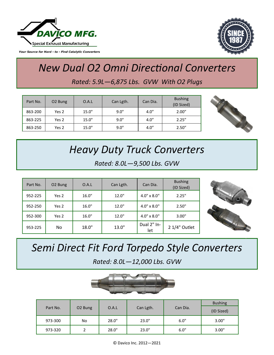



#### *New Dual O2 Omni Directional Converters Rated: 5.9L—6,875 Lbs. GVW With O2 Plugs*

| Part No. | O <sub>2</sub> Bung | O.A.L | Can Lgth. | Can Dia. | <b>Bushing</b><br>(ID Sized) |
|----------|---------------------|-------|-----------|----------|------------------------------|
| 863-200  | Yes 2               | 15.0" | 9.0"      | 4.0''    | 2.00''                       |
| 863-225  | Yes 2               | 15.0" | 9.0"      | 4.0''    | 2.25''                       |
| 863-250  | Yes 2               | 15.0" | 9.0"      | 4.0''    | 2.50''                       |



# *Heavy Duty Truck Converters*

*Rated: 8.0L—9,500 Lbs. GVW*

| Part No. | O <sub>2</sub> Bung | O.A.L | Can Lgth. | Can Dia.             | <b>Bushing</b><br>(ID Sized) |
|----------|---------------------|-------|-----------|----------------------|------------------------------|
| 952-225  | Yes 2               | 16.0" | 12.0"     | $4.0" \times 8.0"$   | 2.25"                        |
| 952-250  | Yes 2               | 16.0" | 12.0"     | $4.0" \times 8.0"$   | 2.50"                        |
| 952-300  | Yes 2               | 16.0" | 12.0"     | $4.0'' \times 8.0''$ | 3.00"                        |
| 953-225  | No.                 | 18.0" | 13.0"     | Dual 2" In-<br>let   | 2 1/4" Outlet                |



## *Semi Direct Fit Ford Torpedo Style Converters*

*Rated: 8.0L—12,000 Lbs. GVW*



|          |                     |       |           |          | <b>Bushing</b> |  |
|----------|---------------------|-------|-----------|----------|----------------|--|
| Part No. | O <sub>2</sub> Bung | O.A.L | Can Lgth. | Can Dia. | (ID Sized)     |  |
| 973-300  | No                  | 28.0" | 23.0"     | 6.0"     | 3.00"          |  |
| 973-320  |                     | 28.0" | 23.0"     | 6.0"     | 3.00"          |  |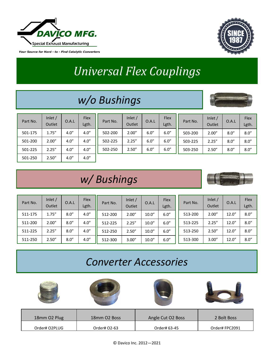



# *Universal Flex Couplings*

### *w/o Bushings*



| Part No. | Inlet $/$<br>Outlet | O.A.L | Flex<br>Lgth. | Part No. | Inlet $/$<br>Outlet | O.A.L | Flex<br>Lgth. | Part No. | Inlet $/$<br>Outlet | O.A.L | Flex<br>Lgth. |
|----------|---------------------|-------|---------------|----------|---------------------|-------|---------------|----------|---------------------|-------|---------------|
| 501-175  | 1.75''              | 4.0'' | 4.0''         | 502-200  | 2.00''              | 6.0'' | 6.0''         | 503-200  | 2.00''              | 8.0'' | 8.0''         |
| 501-200  | 2.00''              | 4.0'' | 4.0''         | 502-225  | 2.25''              | 6.0'' | 6.0''         | 503-225  | 2.25''              | 8.0'' | 8.0''         |
| 501-225  | 2.25''              | 4.0'' | 4.0''         | 502-250  | 2.50''              | 6.0'' | 6.0''         | 503-250  | 2.50''              | 8.0'' | 8.0''         |
| 501-250  | 2.50''              | 4.0'' | 4.0''         |          |                     |       |               |          |                     |       |               |

### *w/ Bushings*



| Part No. | Inlet $/$<br>Outlet | O.A.L | <b>Flex</b><br>Lgth. | Part No. | Inlet $/$<br>Outlet | O.A.L | Flex<br>Lgth. | Part No. | Inlet $/$<br>Outlet | O.A.L  | Flex<br>Lgth. |
|----------|---------------------|-------|----------------------|----------|---------------------|-------|---------------|----------|---------------------|--------|---------------|
| 511-175  | 1.75''              | 8.0'' | 4.0''                | 512-200  | 2.00''              | 10.0" | 6.0''         | 513-200  | 2.00"               | 12.0'' | 8.0''         |
| 511-200  | 2.00''              | 8.0'' | 4.0''                | 512-225  | 2.25''              | 10.0" | 6.0''         | 513-225  | 2.25''              | 12.0'' | 8.0''         |
| 511-225  | 2.25''              | 8.0'' | 4.0''                | 512-250  | 2.50''              | 10.0" | 6.0''         | 513-250  | 2.50''              | 12.0'' | 8.0''         |
| 511-250  | 2.50''              | 8.0'' | 4.0''                | 512-300  | 3.00''              | 10.0" | 6.0''         | 513-300  | 3.00''              | 12.0'' | 8.0''         |

#### *Converter Accessories*



| 18mm O2 Plug  | 18mm O2 Boss | Angle Cut O2 Boss | 2 Bolt Boss   |
|---------------|--------------|-------------------|---------------|
| Order# O2PLUG | Order# 02-63 | Order# 63-45      | Order#FPC2091 |